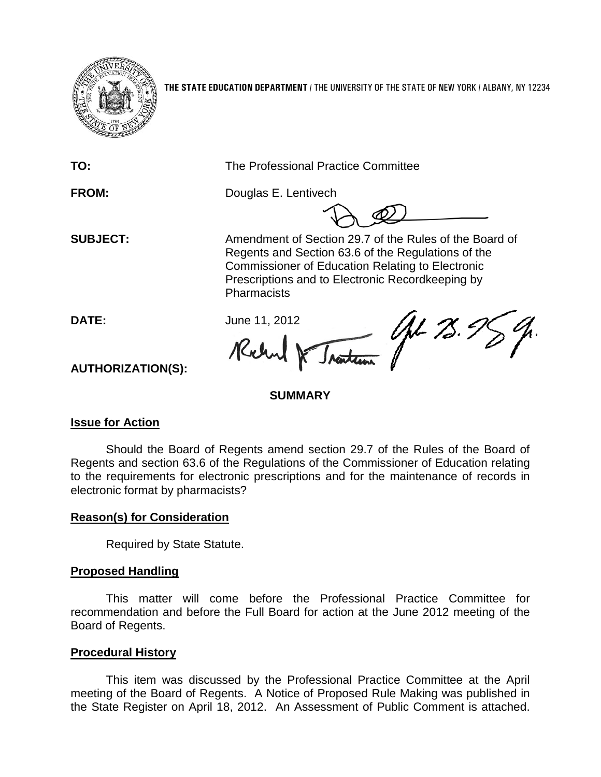

**THE STATE EDUCATION DEPARTMENT** / THE UNIVERSITY OF THE STATE OF NEW YORK / ALBANY, NY 12234

**TO:** The Professional Practice Committee

**FROM:** Douglas E. Lentivech

**SUBJECT:** Amendment of Section 29.7 of the Rules of the Board of Regents and Section 63.6 of the Regulations of the Commissioner of Education Relating to Electronic Prescriptions and to Electronic Recordkeeping by **Pharmacists** 

Nantenn (John 75.) **DATE:** June 11, 2012 Rochy

**AUTHORIZATION(S):**

#### **SUMMARY**

## **Issue for Action**

Should the Board of Regents amend section 29.7 of the Rules of the Board of Regents and section 63.6 of the Regulations of the Commissioner of Education relating to the requirements for electronic prescriptions and for the maintenance of records in electronic format by pharmacists?

## **Reason(s) for Consideration**

Required by State Statute.

## **Proposed Handling**

This matter will come before the Professional Practice Committee for recommendation and before the Full Board for action at the June 2012 meeting of the Board of Regents.

## **Procedural History**

This item was discussed by the Professional Practice Committee at the April meeting of the Board of Regents. A Notice of Proposed Rule Making was published in the State Register on April 18, 2012. An Assessment of Public Comment is attached.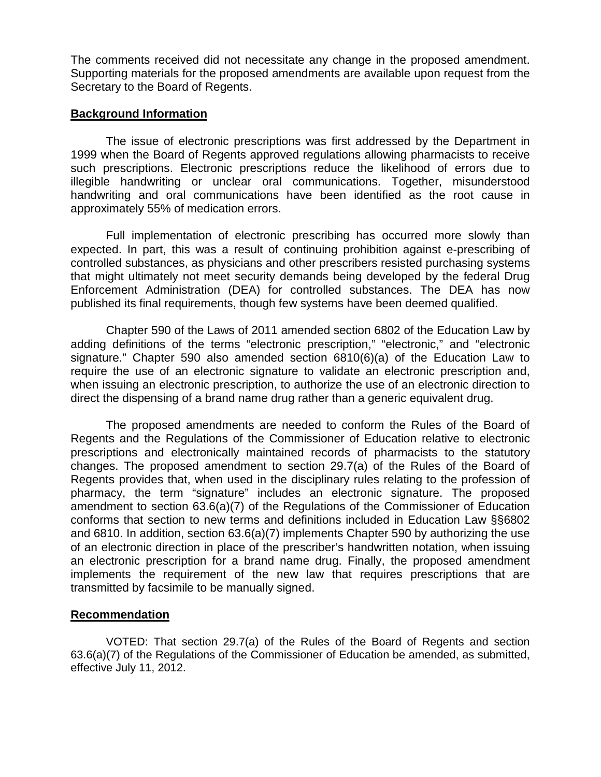The comments received did not necessitate any change in the proposed amendment. Supporting materials for the proposed amendments are available upon request from the Secretary to the Board of Regents.

#### **Background Information**

The issue of electronic prescriptions was first addressed by the Department in 1999 when the Board of Regents approved regulations allowing pharmacists to receive such prescriptions. Electronic prescriptions reduce the likelihood of errors due to illegible handwriting or unclear oral communications. Together, misunderstood handwriting and oral communications have been identified as the root cause in approximately 55% of medication errors.

Full implementation of electronic prescribing has occurred more slowly than expected. In part, this was a result of continuing prohibition against e-prescribing of controlled substances, as physicians and other prescribers resisted purchasing systems that might ultimately not meet security demands being developed by the federal Drug Enforcement Administration (DEA) for controlled substances. The DEA has now published its final requirements, though few systems have been deemed qualified.

Chapter 590 of the Laws of 2011 amended section 6802 of the Education Law by adding definitions of the terms "electronic prescription," "electronic," and "electronic signature." Chapter 590 also amended section 6810(6)(a) of the Education Law to require the use of an electronic signature to validate an electronic prescription and, when issuing an electronic prescription, to authorize the use of an electronic direction to direct the dispensing of a brand name drug rather than a generic equivalent drug.

The proposed amendments are needed to conform the Rules of the Board of Regents and the Regulations of the Commissioner of Education relative to electronic prescriptions and electronically maintained records of pharmacists to the statutory changes. The proposed amendment to section 29.7(a) of the Rules of the Board of Regents provides that, when used in the disciplinary rules relating to the profession of pharmacy, the term "signature" includes an electronic signature. The proposed amendment to section 63.6(a)(7) of the Regulations of the Commissioner of Education conforms that section to new terms and definitions included in Education Law §§6802 and 6810. In addition, section 63.6(a)(7) implements Chapter 590 by authorizing the use of an electronic direction in place of the prescriber's handwritten notation, when issuing an electronic prescription for a brand name drug. Finally, the proposed amendment implements the requirement of the new law that requires prescriptions that are transmitted by facsimile to be manually signed.

#### **Recommendation**

VOTED: That section 29.7(a) of the Rules of the Board of Regents and section  $63.6(a)(7)$  of the Regulations of the Commissioner of Education be amended, as submitted, effective July 11, 2012.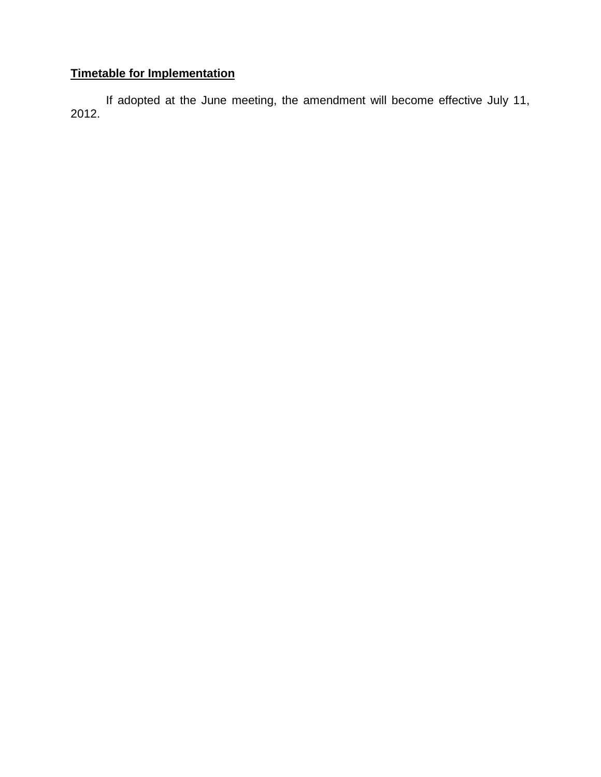## **Timetable for Implementation**

If adopted at the June meeting, the amendment will become effective July 11, 2012.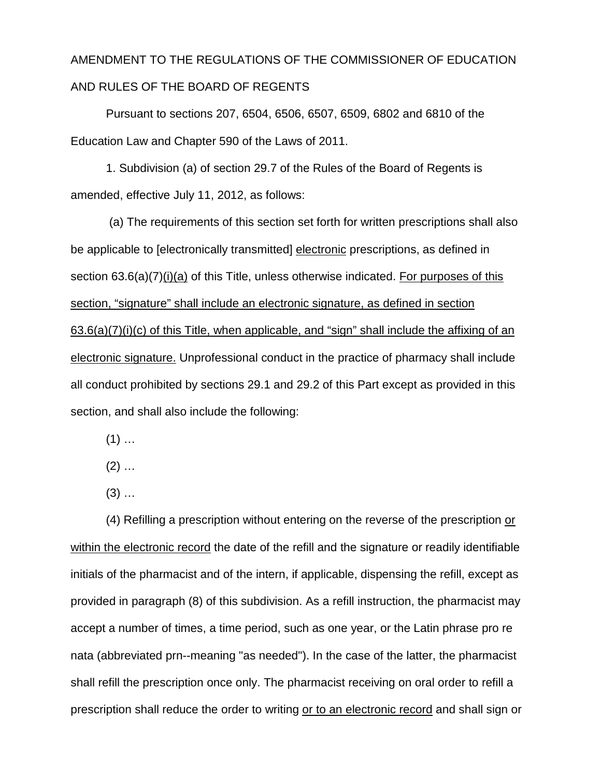# AMENDMENT TO THE REGULATIONS OF THE COMMISSIONER OF EDUCATION AND RULES OF THE BOARD OF REGENTS

Pursuant to sections 207, 6504, 6506, 6507, 6509, 6802 and 6810 of the Education Law and Chapter 590 of the Laws of 2011.

1. Subdivision (a) of section 29.7 of the Rules of the Board of Regents is amended, effective July 11, 2012, as follows:

(a) The requirements of this section set forth for written prescriptions shall also be applicable to [electronically transmitted] electronic prescriptions, as defined in section 63.6(a)(7)(i)(a) of this Title, unless otherwise indicated. For purposes of this section, "signature" shall include an electronic signature, as defined in section 63.6(a)(7)(i)(c) of this Title, when applicable, and "sign" shall include the affixing of an electronic signature. Unprofessional conduct in the practice of pharmacy shall include all conduct prohibited by sections 29.1 and 29.2 of this Part except as provided in this section, and shall also include the following:

 $(1)$  ...

 $(2)$  ...

 $(3)$  ...

(4) Refilling a prescription without entering on the reverse of the prescription or within the electronic record the date of the refill and the signature or readily identifiable initials of the pharmacist and of the intern, if applicable, dispensing the refill, except as provided in paragraph (8) of this subdivision. As a refill instruction, the pharmacist may accept a number of times, a time period, such as one year, or the Latin phrase pro re nata (abbreviated prn--meaning "as needed"). In the case of the latter, the pharmacist shall refill the prescription once only. The pharmacist receiving on oral order to refill a prescription shall reduce the order to writing or to an electronic record and shall sign or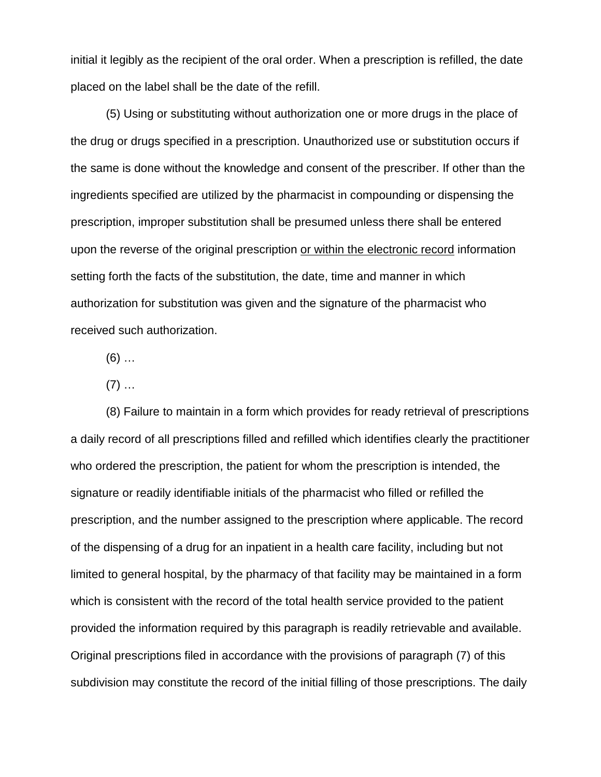initial it legibly as the recipient of the oral order. When a prescription is refilled, the date placed on the label shall be the date of the refill.

(5) Using or substituting without authorization one or more drugs in the place of the drug or drugs specified in a prescription. Unauthorized use or substitution occurs if the same is done without the knowledge and consent of the prescriber. If other than the ingredients specified are utilized by the pharmacist in compounding or dispensing the prescription, improper substitution shall be presumed unless there shall be entered upon the reverse of the original prescription or within the electronic record information setting forth the facts of the substitution, the date, time and manner in which authorization for substitution was given and the signature of the pharmacist who received such authorization.

 $(6)$  …

 $(7)$  ...

(8) Failure to maintain in a form which provides for ready retrieval of prescriptions a daily record of all prescriptions filled and refilled which identifies clearly the practitioner who ordered the prescription, the patient for whom the prescription is intended, the signature or readily identifiable initials of the pharmacist who filled or refilled the prescription, and the number assigned to the prescription where applicable. The record of the dispensing of a drug for an inpatient in a health care facility, including but not limited to general hospital, by the pharmacy of that facility may be maintained in a form which is consistent with the record of the total health service provided to the patient provided the information required by this paragraph is readily retrievable and available. Original prescriptions filed in accordance with the provisions of paragraph (7) of this subdivision may constitute the record of the initial filling of those prescriptions. The daily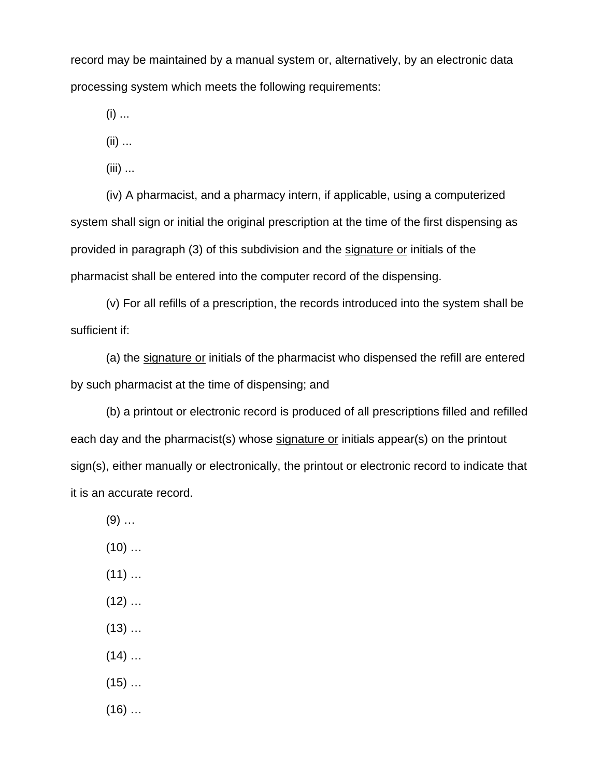record may be maintained by a manual system or, alternatively, by an electronic data processing system which meets the following requirements:

 $(i)$  ...

(ii) ...

(iii) ...

(iv) A pharmacist, and a pharmacy intern, if applicable, using a computerized system shall sign or initial the original prescription at the time of the first dispensing as provided in paragraph (3) of this subdivision and the signature or initials of the pharmacist shall be entered into the computer record of the dispensing.

(v) For all refills of a prescription, the records introduced into the system shall be sufficient if:

(a) the signature or initials of the pharmacist who dispensed the refill are entered by such pharmacist at the time of dispensing; and

(b) a printout or electronic record is produced of all prescriptions filled and refilled each day and the pharmacist(s) whose signature or initials appear(s) on the printout sign(s), either manually or electronically, the printout or electronic record to indicate that it is an accurate record.

- $(9)$  ...
- $(10)$  ...
- $(11)$  ...
- $(12)$  ...
- $(13)$  ...
- $(14)$  ...
- $(15)$  ...
- $(16)$  …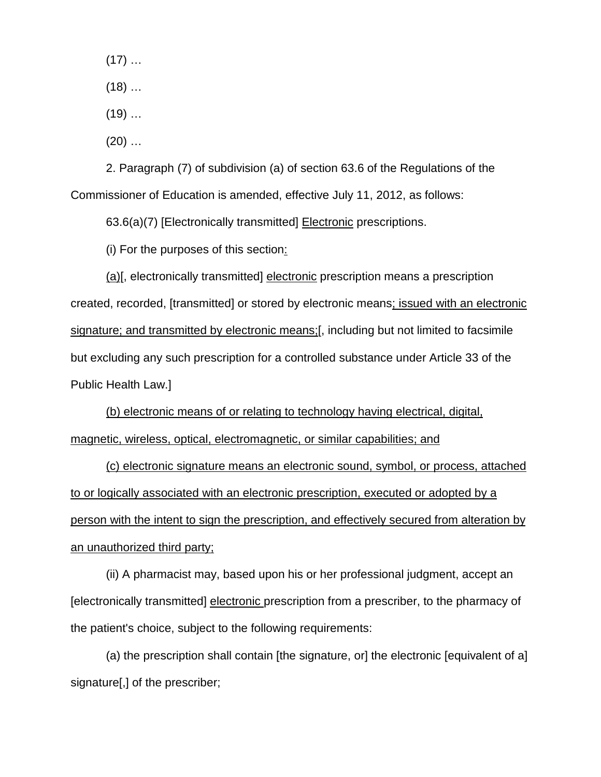$(17)$  …

 $(18)$  …

 $(19)$  ...

 $(20)$  ...

2. Paragraph (7) of subdivision (a) of section 63.6 of the Regulations of the Commissioner of Education is amended, effective July 11, 2012, as follows:

63.6(a)(7) [Electronically transmitted] Electronic prescriptions.

(i) For the purposes of this section:

(a)[, electronically transmitted] electronic prescription means a prescription created, recorded, [transmitted] or stored by electronic means; issued with an electronic signature; and transmitted by electronic means;[, including but not limited to facsimile but excluding any such prescription for a controlled substance under Article 33 of the Public Health Law.]

(b) electronic means of or relating to technology having electrical, digital, magnetic, wireless, optical, electromagnetic, or similar capabilities; and

(c) electronic signature means an electronic sound, symbol, or process, attached to or logically associated with an electronic prescription, executed or adopted by a person with the intent to sign the prescription, and effectively secured from alteration by an unauthorized third party;

(ii) A pharmacist may, based upon his or her professional judgment, accept an [electronically transmitted] electronic prescription from a prescriber, to the pharmacy of the patient's choice, subject to the following requirements:

(a) the prescription shall contain [the signature, or] the electronic [equivalent of a] signature[,] of the prescriber;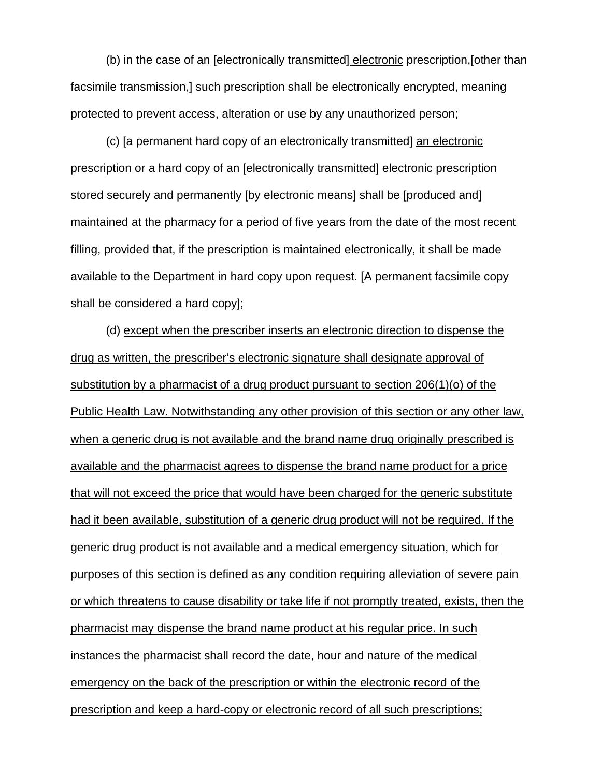(b) in the case of an [electronically transmitted] electronic prescription,[other than facsimile transmission,] such prescription shall be electronically encrypted, meaning protected to prevent access, alteration or use by any unauthorized person;

(c) [a permanent hard copy of an electronically transmitted] an electronic prescription or a hard copy of an [electronically transmitted] electronic prescription stored securely and permanently [by electronic means] shall be [produced and] maintained at the pharmacy for a period of five years from the date of the most recent filling, provided that, if the prescription is maintained electronically, it shall be made available to the Department in hard copy upon request. [A permanent facsimile copy shall be considered a hard copy];

(d) except when the prescriber inserts an electronic direction to dispense the drug as written, the prescriber's electronic signature shall designate approval of substitution by a pharmacist of a drug product pursuant to section 206(1)(o) of the Public Health Law. Notwithstanding any other provision of this section or any other law, when a generic drug is not available and the brand name drug originally prescribed is available and the pharmacist agrees to dispense the brand name product for a price that will not exceed the price that would have been charged for the generic substitute had it been available, substitution of a generic drug product will not be required. If the generic drug product is not available and a medical emergency situation, which for purposes of this section is defined as any condition requiring alleviation of severe pain or which threatens to cause disability or take life if not promptly treated, exists, then the pharmacist may dispense the brand name product at his regular price. In such instances the pharmacist shall record the date, hour and nature of the medical emergency on the back of the prescription or within the electronic record of the prescription and keep a hard-copy or electronic record of all such prescriptions;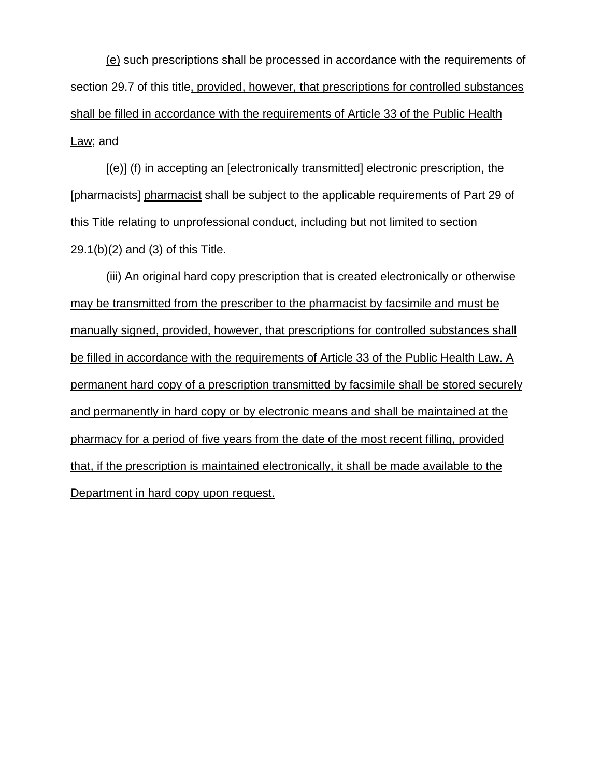(e) such prescriptions shall be processed in accordance with the requirements of section 29.7 of this title, provided, however, that prescriptions for controlled substances shall be filled in accordance with the requirements of Article 33 of the Public Health Law; and

[(e)] (f) in accepting an [electronically transmitted] electronic prescription, the [pharmacists] pharmacist shall be subject to the applicable requirements of Part 29 of this Title relating to unprofessional conduct, including but not limited to section 29.1(b)(2) and (3) of this Title.

(iii) An original hard copy prescription that is created electronically or otherwise may be transmitted from the prescriber to the pharmacist by facsimile and must be manually signed, provided, however, that prescriptions for controlled substances shall be filled in accordance with the requirements of Article 33 of the Public Health Law. A permanent hard copy of a prescription transmitted by facsimile shall be stored securely and permanently in hard copy or by electronic means and shall be maintained at the pharmacy for a period of five years from the date of the most recent filling, provided that, if the prescription is maintained electronically, it shall be made available to the Department in hard copy upon request.